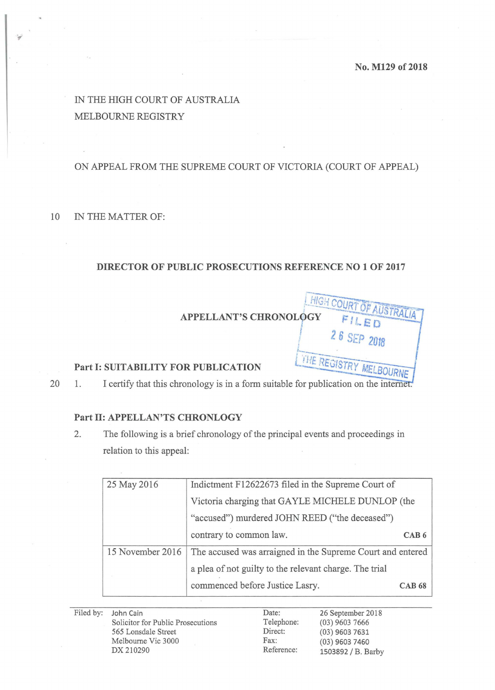! 2 6 SEP **2018** 

 $\sqrt{1127}$ 

**generation** 

# IN THE HIGH COURT OF AUSTRALIA MELBOURNE REGISTRY

## ON APPEAL FROM THE SUPREME COURT OF VICTORIA (COURT OF APPEAL)

#### 10 IN THE MATTER OF:

### **DIRECTOR OF PUBLIC PROSECUTIONS REFERENCE NO 1 OF 2017**

HIGH COURT OF AUSTRALIA **APPELLANT'S CHRONOLOGY** FILED

#### **Part I: SUITABILITY FOR PUBLICATION**

20 1. I certify that this chronology is in a form suitable for publication on the internet.

#### **Part 11: APPELLAN'TS CHRONLOGY**

2. The following is a brief chronology of the principal events and proceedings in relation to this appeal:

| 25 May 2016      | Indictment F12622673 filed in the Supreme Court of         |               |
|------------------|------------------------------------------------------------|---------------|
|                  | Victoria charging that GAYLE MICHELE DUNLOP (the           |               |
|                  | "accused") murdered JOHN REED ("the deceased")             |               |
|                  | contrary to common law.                                    | CAB6          |
| 15 November 2016 | The accused was arraigned in the Supreme Court and entered |               |
|                  | a plea of not guilty to the relevant charge. The trial     |               |
|                  | commenced before Justice Lasry.                            | <b>CAB 68</b> |

| Filed by: John Cain               | Date:      | 26 September 2018  |
|-----------------------------------|------------|--------------------|
| Solicitor for Public Prosecutions | Telephone: | $(03)$ 9603 7666   |
| 565 Lonsdale Street               | Direct:    | $(03)$ 9603 7631   |
| Melbourne Vic 3000                | Fax:       | $(03)$ 9603 7460   |
| DX 210290                         | Reference: | 1503892 / B. Barby |
|                                   |            |                    |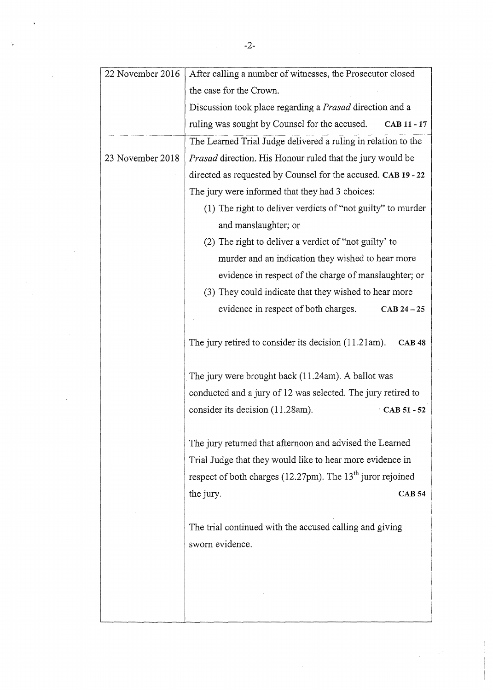| 22 November 2016 | After calling a number of witnesses, the Prosecutor closed               |  |  |
|------------------|--------------------------------------------------------------------------|--|--|
|                  | the case for the Crown.                                                  |  |  |
|                  | Discussion took place regarding a <i>Prasad</i> direction and a          |  |  |
|                  | ruling was sought by Counsel for the accused.<br>CAB 11 - 17             |  |  |
|                  | The Learned Trial Judge delivered a ruling in relation to the            |  |  |
| 23 November 2018 | <i>Prasad</i> direction. His Honour ruled that the jury would be         |  |  |
|                  | directed as requested by Counsel for the accused. CAB 19 - 22            |  |  |
|                  | The jury were informed that they had 3 choices:                          |  |  |
|                  | (1) The right to deliver verdicts of "not guilty" to murder              |  |  |
|                  | and manslaughter; or                                                     |  |  |
|                  | (2) The right to deliver a verdict of "not guilty' to                    |  |  |
|                  | murder and an indication they wished to hear more                        |  |  |
|                  | evidence in respect of the charge of manslaughter; or                    |  |  |
|                  | (3) They could indicate that they wished to hear more                    |  |  |
|                  | evidence in respect of both charges.<br>$CAB 24 - 25$                    |  |  |
|                  |                                                                          |  |  |
|                  | The jury retired to consider its decision $(11.21am)$ .<br><b>CAB 48</b> |  |  |
|                  |                                                                          |  |  |
|                  | The jury were brought back (11.24am). A ballot was                       |  |  |
|                  | conducted and a jury of 12 was selected. The jury retired to             |  |  |
|                  | consider its decision (11.28am).<br>CAB 51 - 52                          |  |  |
|                  |                                                                          |  |  |
|                  | The jury returned that afternoon and advised the Learned                 |  |  |
|                  | Trial Judge that they would like to hear more evidence in                |  |  |
|                  | respect of both charges (12.27pm). The $13th$ juror rejoined             |  |  |
|                  | the jury.<br><b>CAB 54</b>                                               |  |  |
|                  |                                                                          |  |  |
|                  | The trial continued with the accused calling and giving                  |  |  |
|                  | sworn evidence.                                                          |  |  |
|                  |                                                                          |  |  |
|                  |                                                                          |  |  |
|                  |                                                                          |  |  |
|                  |                                                                          |  |  |

l.

 $\overline{a}$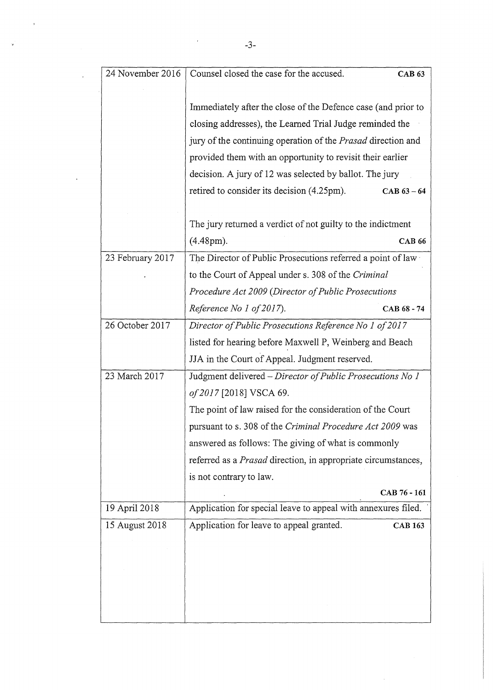| 24 November 2016 | Counsel closed the case for the accused.<br><b>CAB 63</b>     |  |  |
|------------------|---------------------------------------------------------------|--|--|
|                  |                                                               |  |  |
|                  | Immediately after the close of the Defence case (and prior to |  |  |
|                  | closing addresses), the Learned Trial Judge reminded the      |  |  |
|                  | jury of the continuing operation of the Prasad direction and  |  |  |
|                  | provided them with an opportunity to revisit their earlier    |  |  |
|                  | decision. A jury of 12 was selected by ballot. The jury       |  |  |
|                  | retired to consider its decision (4.25pm).<br>$CAB 63 - 64$   |  |  |
|                  |                                                               |  |  |
|                  | The jury returned a verdict of not guilty to the indictment   |  |  |
|                  | $(4.48 \text{pm}).$<br><b>CAB 66</b>                          |  |  |
| 23 February 2017 | The Director of Public Prosecutions referred a point of law   |  |  |
|                  | to the Court of Appeal under s. 308 of the Criminal           |  |  |
|                  | Procedure Act 2009 (Director of Public Prosecutions           |  |  |
|                  | Reference No 1 of 2017).<br>CAB 68 - 74                       |  |  |
| 26 October 2017  | Director of Public Prosecutions Reference No 1 of 2017        |  |  |
|                  | listed for hearing before Maxwell P, Weinberg and Beach       |  |  |
|                  | JJA in the Court of Appeal. Judgment reserved.                |  |  |
| 23 March 2017    | Judgment delivered - Director of Public Prosecutions No 1     |  |  |
|                  | of 2017 [2018] VSCA 69.                                       |  |  |
|                  | The point of law raised for the consideration of the Court    |  |  |
|                  | pursuant to s. 308 of the Criminal Procedure Act 2009 was     |  |  |
|                  | answered as follows: The giving of what is commonly           |  |  |
|                  | referred as a Prasad direction, in appropriate circumstances, |  |  |
|                  | is not contrary to law.                                       |  |  |
|                  | CAB 76 - 161                                                  |  |  |
| 19 April 2018    | Application for special leave to appeal with annexures filed. |  |  |
| 15 August 2018   | Application for leave to appeal granted.<br><b>CAB 163</b>    |  |  |
|                  |                                                               |  |  |
|                  |                                                               |  |  |
|                  |                                                               |  |  |
|                  |                                                               |  |  |
|                  |                                                               |  |  |

 $\ddot{\phantom{a}}$